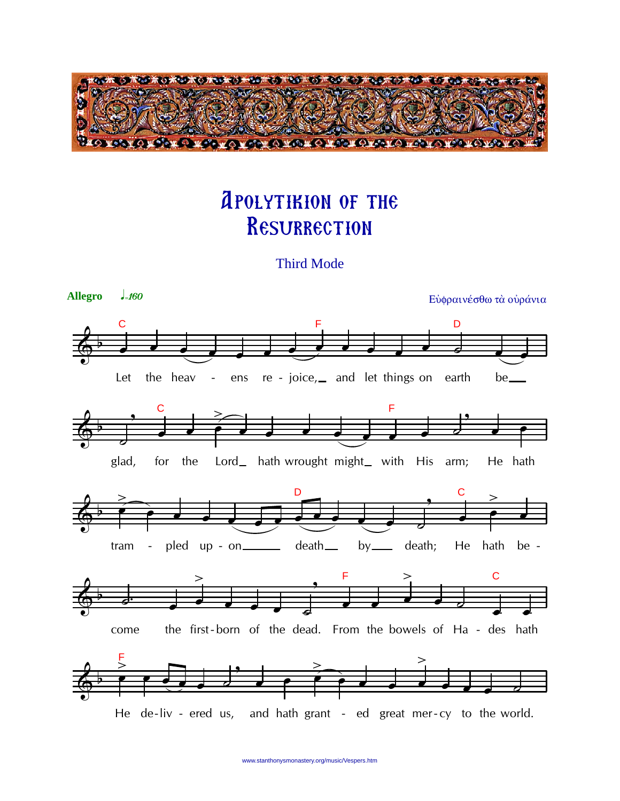

## **APOLYTIKION OF THE** RESURRECTION

**Third Mode** 

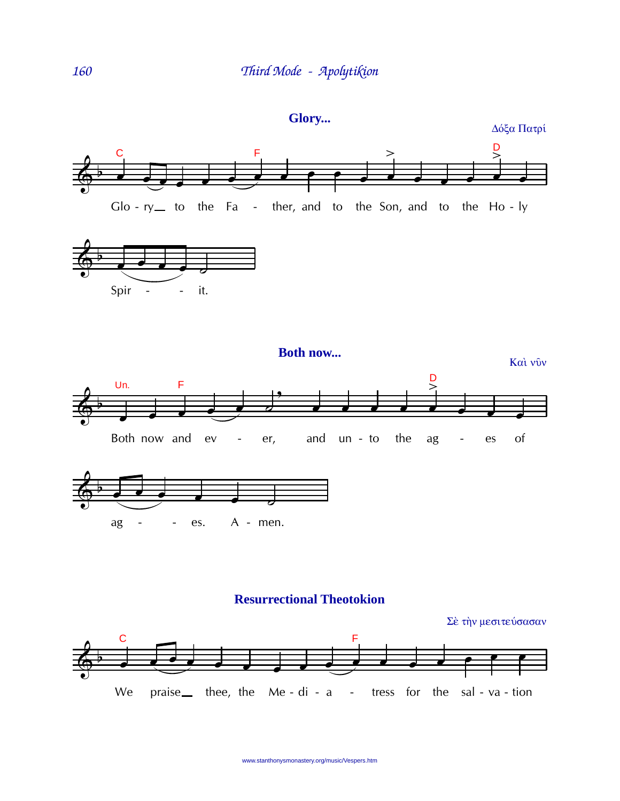

## **Resurrectional Theotokion**